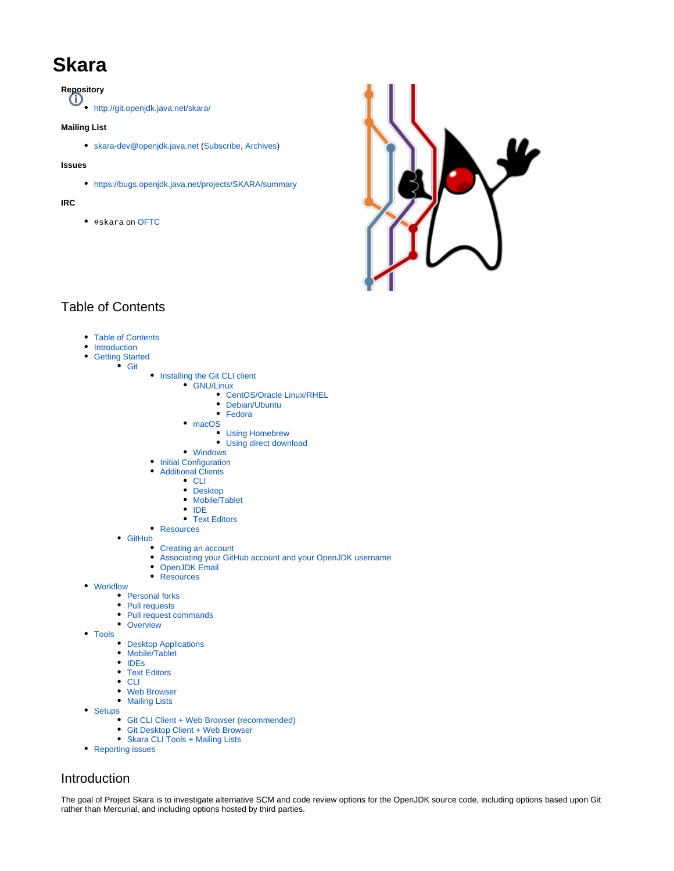# **Skara**

**Repository**

<http://git.openjdk.java.net/skara/>

### **Mailing List**

[skara-dev@openjdk.java.net](mailto:skara-dev@openjdk.java.net) [\(Subscribe,](http://mail.openjdk.java.net/mailman/listinfo/skara-dev) [Archives\)](https://mail.openjdk.java.net/pipermail/skara-dev/)

#### **Issues**

<https://bugs.openjdk.java.net/projects/SKARA/summary>

#### **IRC**

#skara on [OFTC](https://www.oftc.net/)



# <span id="page-0-0"></span>Table of Contents

- [Table of Contents](#page-0-0)
- [Introduction](#page-0-1)
- **[Getting Started](#page-1-0)** 
	- [Git](#page-1-1)
		- [Installing the Git CLI client](#page-1-2)
			- [GNU/Linux](#page-1-3)
				- [CentOS/Oracle Linux/RHEL](#page-1-4) ● [Debian/Ubuntu](#page-1-5)
				- [Fedora](#page-2-0)
			- [macOS](#page-2-1)
				- - [Using Homebrew](#page-2-2) [Using direct download](#page-2-3)
			- [Windows](#page-2-4)
			- [Initial Configuration](#page-2-5)
			- [Additional Clients](#page-2-6)
				- [CLI](#page-2-7)
				- [Desktop](#page-2-8)
				- [Mobile/Tablet](#page-3-0)
				- $\cdot$  [IDE](#page-3-1)
				- [Text Editors](#page-3-2)
		- [Resources](#page-3-3) • [GitHub](#page-3-4)
			- [Creating an account](#page-3-5)
			- [Associating your GitHub account and your OpenJDK username](#page-3-6)
			- [OpenJDK Email](#page-3-7)
			- [Resources](#page-3-8)
- [Workflow](#page-4-0)
	- [Personal forks](#page-4-1)
	- [Pull requests](#page-4-2)
	- $\bullet$ [Pull request commands](#page-4-3)
	- [Overview](#page-4-4)
- [Tools](#page-5-0)
	- [Desktop Applications](#page-5-1)
	- [Mobile/Tablet](#page-5-2)
	- [IDEs](#page-5-3)
	- [Text Editors](#page-5-4)
	- $\bullet$  [CLI](#page-5-5)  $\bullet$ [Web Browser](#page-5-6)
	- [Mailing Lists](#page-5-7)
- [Setups](#page-6-0)
	- [Git CLI Client + Web Browser \(recommended\)](#page-6-1)
		- [Git Desktop Client + Web Browser](#page-7-0)
	- [Skara CLI Tools + Mailing Lists](#page-7-1)
- [Reporting issues](#page-7-2)

# <span id="page-0-1"></span>Introduction

The goal of Project Skara is to investigate alternative SCM and code review options for the OpenJDK source code, including options based upon Git rather than Mercurial, and including options hosted by third parties.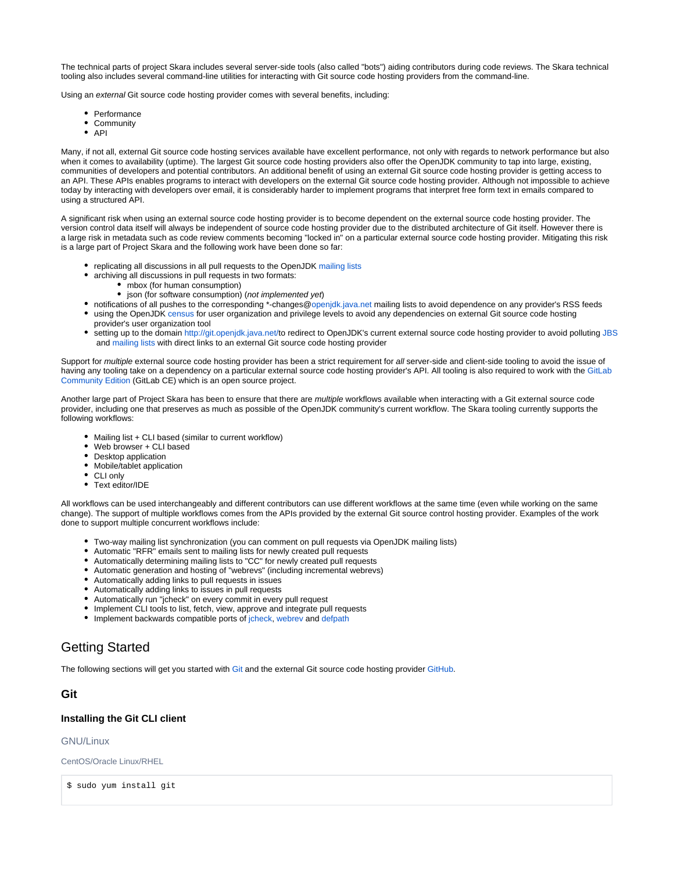The technical parts of project Skara includes several server-side tools (also called "bots") aiding contributors during code reviews. The Skara technical tooling also includes several command-line utilities for interacting with Git source code hosting providers from the command-line.

Using an external Git source code hosting provider comes with several benefits, including:

- Performance
- Community
- $API$

Many, if not all, external Git source code hosting services available have excellent performance, not only with regards to network performance but also when it comes to availability (uptime). The largest Git source code hosting providers also offer the OpenJDK community to tap into large, existing, communities of developers and potential contributors. An additional benefit of using an external Git source code hosting provider is getting access to an API. These APIs enables programs to interact with developers on the external Git source code hosting provider. Although not impossible to achieve today by interacting with developers over email, it is considerably harder to implement programs that interpret free form text in emails compared to using a structured API.

A significant risk when using an external source code hosting provider is to become dependent on the external source code hosting provider. The version control data itself will always be independent of source code hosting provider due to the distributed architecture of Git itself. However there is a large risk in metadata such as code review comments becoming "locked in" on a particular external source code hosting provider. Mitigating this risk is a large part of Project Skara and the following work have been done so far:

- replicating all discussions in all pull requests to the OpenJDK [mailing lists](https://mail.openjdk.java.net/)
- archiving all discussions in pull requests in two formats:
	- mbox (for human consumption)
		- json (for software consumption) (not implemented yet)
- notifications of all pushes to the corresponding \*-changes[@openjdk.java.net](http://openjdk.java.net) mailing lists to avoid dependence on any provider's RSS feeds
- using the OpenJDK [census](https://openjdk.java.net/census/) for user organization and privilege levels to avoid any dependencies on external Git source code hosting provider's user organization tool
- setting up to the domain <http://git.openjdk.java.net/>to redirect to OpenJDK's current external source code hosting provider to avoid polluting [JBS](https://bugs.openjdk.java.net/) and [mailing lists](https://mail.openjdk.java.net/) with direct links to an external Git source code hosting provider

Support for multiple external source code hosting provider has been a strict requirement for all server-side and client-side tooling to avoid the issue of having any tooling take on a dependency on a particular external source code hosting provider's API. All tooling is also required to work with the [GitLab](https://gitlab.com/gitlab-org/gitlab-ce/) [Community Edition](https://gitlab.com/gitlab-org/gitlab-ce/) (GitLab CE) which is an open source project.

Another large part of Project Skara has been to ensure that there are multiple workflows available when interacting with a Git external source code provider, including one that preserves as much as possible of the OpenJDK community's current workflow. The Skara tooling currently supports the following workflows:

- Mailing list + CLI based (similar to current workflow)
- Web browser + CLI based
- Desktop application
- Mobile/tablet application
- CLI only
- Text editor/IDE

All workflows can be used interchangeably and different contributors can use different workflows at the same time (even while working on the same change). The support of multiple workflows comes from the APIs provided by the external Git source control hosting provider. Examples of the work done to support multiple concurrent workflows include:

- Two-way mailing list synchronization (you can comment on pull requests via OpenJDK mailing lists)
- Automatic "RFR" emails sent to mailing lists for newly created pull requests
- Automatically determining mailing lists to "CC" for newly created pull requests
- Automatic generation and hosting of "webrevs" (including incremental webrevs)
- Automatically adding links to pull requests in issues
- Automatically adding links to issues in pull requests
- Automatically run "jcheck" on every commit in every pull request
- Implement CLI tools to list, fetch, view, approve and integrate pull requests
- Implement backwards compatible ports of [jcheck](https://openjdk.java.net/projects/code-tools/jcheck/), [webrev](https://openjdk.java.net/projects/code-tools/webrev/) and [defpath](https://openjdk.java.net/projects/code-tools/defpath/)

# <span id="page-1-0"></span>Getting Started

The following sections will get you started with [Git](https://git-scm.com/) and the external Git source code hosting provider [GitHub.](https://github.com/)

### <span id="page-1-1"></span>**Git**

#### <span id="page-1-2"></span>**Installing the Git CLI client**

#### <span id="page-1-3"></span>GNU/Linux

<span id="page-1-4"></span>CentOS/Oracle Linux/RHEL

<span id="page-1-5"></span>\$ sudo yum install git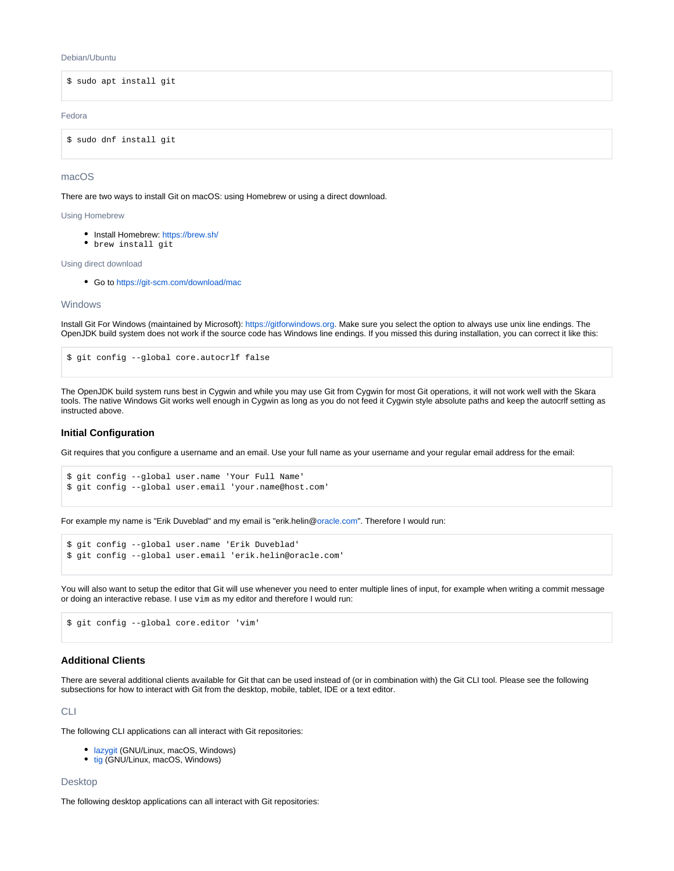#### Debian/Ubuntu

\$ sudo apt install git

#### <span id="page-2-0"></span>Fedora

\$ sudo dnf install git

#### <span id="page-2-1"></span>macOS

There are two ways to install Git on macOS: using Homebrew or using a direct download.

<span id="page-2-2"></span>Using Homebrew

- Install Homebrew: <https://brew.sh/>
- brew install git

<span id="page-2-3"></span>Using direct download

Go to <https://git-scm.com/download/mac>

#### <span id="page-2-4"></span>**Windows**

Install Git For Windows (maintained by Microsoft): [https://gitforwindows.org.](https://gitforwindows.org) Make sure you select the option to always use unix line endings. The OpenJDK build system does not work if the source code has Windows line endings. If you missed this during installation, you can correct it like this:

\$ git config --global core.autocrlf false

The OpenJDK build system runs best in Cygwin and while you may use Git from Cygwin for most Git operations, it will not work well with the Skara tools. The native Windows Git works well enough in Cygwin as long as you do not feed it Cygwin style absolute paths and keep the autocrlf setting as instructed above.

#### <span id="page-2-5"></span>**Initial Configuration**

Git requires that you configure a username and an email. Use your full name as your username and your regular email address for the email:

```
$ git config --global user.name 'Your Full Name'
$ git config --global user.email 'your.name@host.com'
```
For example my name is "Erik Duveblad" and my email is "erik.helin[@oracle.com"](http://oracle.com). Therefore I would run:

```
$ git config --global user.name 'Erik Duveblad'
$ git config --global user.email 'erik.helin@oracle.com'
```
You will also want to setup the editor that Git will use whenever you need to enter multiple lines of input, for example when writing a commit message or doing an interactive rebase. I use vim as my editor and therefore I would run:

\$ git config --global core.editor 'vim'

#### <span id="page-2-6"></span>**Additional Clients**

There are several additional clients available for Git that can be used instead of (or in combination with) the Git CLI tool. Please see the following subsections for how to interact with Git from the desktop, mobile, tablet, IDE or a text editor.

<span id="page-2-7"></span>CLI

The following CLI applications can all interact with Git repositories:

- [lazygit](https://github.com/jesseduffield/lazygit) (GNU/Linux, macOS, Windows)
- [tig](https://github.com/jonas/tig) (GNU/Linux, macOS, Windows)

#### <span id="page-2-8"></span>Desktop

The following desktop applications can all interact with Git repositories: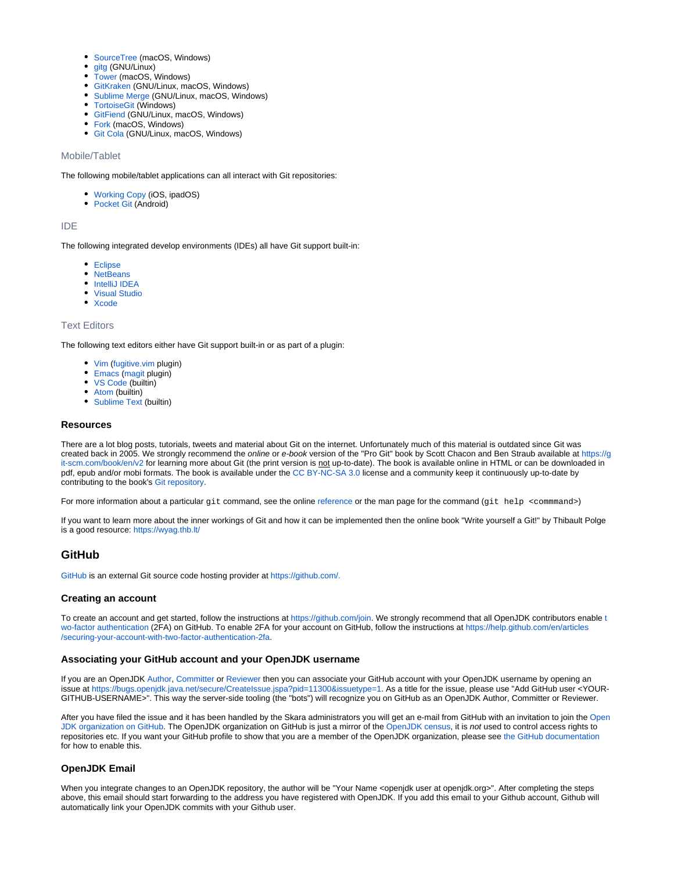- [SourceTree](https://www.sourcetreeapp.com/) (macOS, Windows)
- [gitg](https://wiki.gnome.org/Apps/Gitg/) (GNU/Linux)
- $\bullet$ [Tower](https://www.git-tower.com/) (macOS, Windows)
- [GitKraken](https://www.gitkraken.com/) (GNU/Linux, macOS, Windows)
- [Sublime Merge](https://www.sublimemerge.com/) (GNU/Linux, macOS, Windows)
- [TortoiseGit](https://tortoisegit.org/) (Windows)
- [GitFiend](https://gitfiend.com/) (GNU/Linux, macOS, Windows)
- [Fork](https://git-fork.com/) (macOS, Windows)
- [Git Cola](https://git-cola.github.io/) (GNU/Linux, macOS, Windows)

#### <span id="page-3-0"></span>Mobile/Tablet

The following mobile/tablet applications can all interact with Git repositories:

- [Working Copy](https://workingcopyapp.com/) (iOS, ipadOS)
- [Pocket Git](http://pocketgit.com/) (Android)

#### <span id="page-3-1"></span>IDE

The following integrated develop environments (IDEs) all have Git support built-in:

- [Eclipse](https://www.eclipse.org/)
- [NetBeans](https://netbeans.org/)
- [IntelliJ IDEA](https://www.jetbrains.com/idea/) [Visual Studio](https://visualstudio.microsoft.com/)
- [Xcode](https://apps.apple.com/us/app/xcode/id497799835)
- 

#### <span id="page-3-2"></span>Text Editors

The following text editors either have Git support built-in or as part of a plugin:

- [Vim](https://www.vim.org/) [\(fugitive.vim](https://github.com/tpope/vim-fugitive/) plugin)
- [Emacs](https://www.gnu.org/software/emacs/) [\(magit](https://magit.vc/) plugin)
- [VS Code](https://code.visualstudio.com/) (builtin)
- [Atom](https://atom.io/) (builtin)
- [Sublime Text](https://www.sublimetext.com/) (builtin)

#### <span id="page-3-3"></span>**Resources**

There are a lot blog posts, tutorials, tweets and material about Git on the internet. Unfortunately much of this material is outdated since Git was created back in 2005. We strongly recommend the online or e-book version of the "Pro Git" book by Scott Chacon and Ben Straub available at [https://g](https://git-scm.com/book/en/v2) [it-scm.com/book/en/v2](https://git-scm.com/book/en/v2) for learning more about Git (the print version is not up-to-date). The book is available online in HTML or can be downloaded in pdf, epub and/or mobi formats. The book is available under the [CC BY-NC-SA 3.0](https://creativecommons.org/licenses/by-nc-sa/3.0/) license and a community keep it continuously up-to-date by contributing to the book's [Git repository](https://github.com/progit/progit2).

For more information about a particular git command, see the online [reference](https://git-scm.com/docs/) or the man page for the command (git help <commmand>)

If you want to learn more about the inner workings of Git and how it can be implemented then the online book "Write yourself a Git!" by Thibault Polge is a good resource:<https://wyag.thb.lt/>

# <span id="page-3-4"></span>**GitHub**

[GitHub](https://github.com/) is an external Git source code hosting provider at [https://github.com/.](https://github.com/)

#### <span id="page-3-5"></span>**Creating an account**

To create an account and get started, follow the instructions at<https://github.com/join>. We s[t](https://en.wikipedia.org/wiki/Multi-factor_authentication)rongly recommend that all OpenJDK contributors enable t [wo-factor authentication](https://en.wikipedia.org/wiki/Multi-factor_authentication) (2FA) on GitHub. To enable 2FA for your account on GitHub, follow the instructions at [https://help.github.com/en/articles](https://help.github.com/en/articles/securing-your-account-with-two-factor-authentication-2fa) [/securing-your-account-with-two-factor-authentication-2fa](https://help.github.com/en/articles/securing-your-account-with-two-factor-authentication-2fa).

#### <span id="page-3-6"></span>**Associating your GitHub account and your OpenJDK username**

If you are an OpenJDK [Author](https://openjdk.java.net/bylaws#author), [Committer](https://openjdk.java.net/bylaws#committer) or [Reviewer](https://openjdk.java.net/bylaws#reviewer) then you can associate your GitHub account with your OpenJDK username by opening an issue at<https://bugs.openjdk.java.net/secure/CreateIssue.jspa?pid=11300&issuetype=1>. As a title for the issue, please use "Add GitHub user <YOUR-GITHUB-USERNAME>". This way the server-side tooling (the "bots") will recognize you on GitHub as an OpenJDK Author, Committer or Reviewer.

After you have filed the issue and it has been handled by the Skara administrators you will get an e-mail from GitHub with an invitation to join the [Open](https://github.com/openjdk) [JDK organization on GitHub](https://github.com/openjdk). The OpenJDK organization on GitHub is just a mirror of the [OpenJDK census](https://openjdk.java.net/census), it is not used to control access rights to repositories etc. If you want your GitHub profile to show that you are a member of the OpenJDK organization, please see [the GitHub documentation](https://docs.github.com/en/github/setting-up-and-managing-your-github-user-account/publicizing-or-hiding-organization-membership) for how to enable this.

#### <span id="page-3-7"></span>**OpenJDK Email**

<span id="page-3-8"></span>When you integrate changes to an OpenJDK repository, the author will be "Your Name <openjdk user at openjdk.org>". After completing the steps above, this email should start forwarding to the address you have registered with OpenJDK. If you add this email to your Github account, Github will automatically link your OpenJDK commits with your Github user.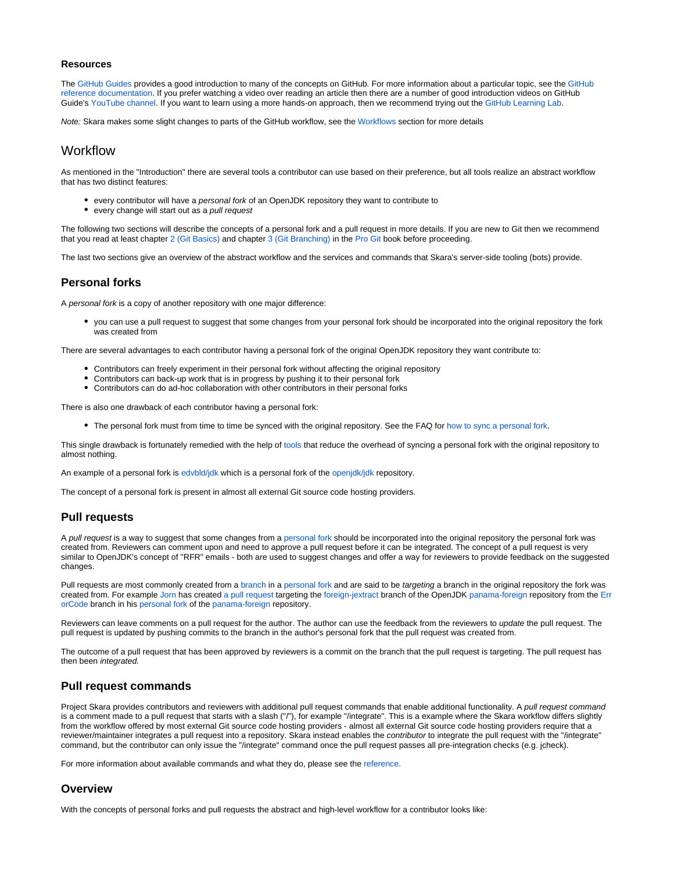#### **Resources**

The [GitHub Guides](https://guides.github.com/) provides a good introduction to many of the concepts on GitHub. For more information about a particular topic, see the [GitHub](https://help.github.com/en/github)  [reference documentation](https://help.github.com/en/github). If you prefer watching a video over reading an article then there are a number of good introduction videos on GitHub Guide's [YouTube channel.](https://www.youtube.com/githubguides) If you want to learn using a more hands-on approach, then we recommend trying out the [GitHub Learning Lab](https://lab.github.com/).

Note: Skara makes some slight changes to parts of the GitHub workflow, see the [Workflows](https://wiki.openjdk.java.net/display/skara#Skara-Workflows) section for more details

# <span id="page-4-0"></span>**Workflow**

As mentioned in the "Introduction" there are several tools a contributor can use based on their preference, but all tools realize an abstract workflow that has two distinct features:

- every contributor will have a personal fork of an OpenJDK repository they want to contribute to
- every change will start out as a *pull request*

The following two sections will describe the concepts of a personal fork and a pull request in more details. If you are new to Git then we recommend that you read at least chapter [2 \(Git Basics\)](https://git-scm.com/book/en/v2/Git-Basics-Getting-a-Git-Repository) and chapter [3 \(Git Branching\)](https://git-scm.com/book/en/v2/Git-Branching-Branches-in-a-Nutshell) in the [Pro Git](https://git-scm.com/book/en/v2) book before proceeding.

The last two sections give an overview of the abstract workflow and the services and commands that Skara's server-side tooling (bots) provide.

### <span id="page-4-1"></span>**Personal forks**

A personal fork is a copy of another repository with one major difference:

you can use a pull request to suggest that some changes from your personal fork should be incorporated into the original repository the fork was created from

There are several advantages to each contributor having a personal fork of the original OpenJDK repository they want contribute to:

- Contributors can freely experiment in their personal fork without affecting the original repository
- Contributors can back-up work that is in progress by pushing it to their personal fork
- Contributors can do ad-hoc collaboration with other contributors in their personal forks

There is also one drawback of each contributor having a personal fork:

The personal fork must from time to time be synced with the original repository. See the FAQ for [how to sync a personal fork](https://wiki.openjdk.java.net/display/SKARA/FAQ#FAQ-HowdoIsyncmypersonalforkwiththeoriginalrepositoryitwascreatedfrom?).

This single drawback is fortunately remedied with the help of [tools](https://wiki.openjdk.java.net/display/skara#Skara-Tools) that reduce the overhead of syncing a personal fork with the original repository to almost nothing.

An example of a personal fork is [edvbld/jdk](https://github.com/edvbld/jdk) which is a personal fork of the [openjdk/jdk](https://github.com/openjdk/jdk) repository.

The concept of a personal fork is present in almost all external Git source code hosting providers.

### <span id="page-4-2"></span>**Pull requests**

A pull request is a way to suggest that some changes from a [personal fork](https://wiki.openjdk.java.net/display/skara#Skara-Personalforks) should be incorporated into the original repository the personal fork was created from. Reviewers can comment upon and need to approve a pull request before it can be integrated. The concept of a pull request is very similar to OpenJDK's concept of "RFR" emails - both are used to suggest changes and offer a way for reviewers to provide feedback on the suggested changes.

Pull requests are most commonly created from a [branch](https://git-scm.com/book/en/v2/Git-Branching-Branches-in-a-Nutshell) in a [personal fork](https://wiki.openjdk.java.net/display/skara#Skara-Personalforks) and are said to be targeting a branch in the original repository the fork was created from. For example [Jorn](http://openjdk.java.net/census#jvernee) has created [a pull request](https://github.com/openjdk/panama-foreign/pull/40) targeting the [foreign-jextract](https://github.com/openjdk/panama-foreign/tree/foreign-jextract) branch of the OpenJDK [panama-foreign](https://github.com/openjdk/panama-foreign) repository from the [Err](https://github.com/JornVernee/panama-foreign/tree/ErrorCode) [orCode](https://github.com/JornVernee/panama-foreign/tree/ErrorCode) branch in his [personal fork](https://github.com/JornVernee/panama-foreign) of the [panama-foreign](https://github.com/openjdk/panama-foreign) repository.

Reviewers can leave comments on a pull request for the author. The author can use the feedback from the reviewers to update the pull request. The pull request is updated by pushing commits to the branch in the author's personal fork that the pull request was created from.

The outcome of a pull request that has been approved by reviewers is a commit on the branch that the pull request is targeting. The pull request has then been integrated.

# <span id="page-4-3"></span>**Pull request commands**

Project Skara provides contributors and reviewers with additional pull request commands that enable additional functionality. A pull request command is a comment made to a pull request that starts with a slash ("/"), for example "/integrate". This is a example where the Skara workflow differs slightly from the workflow offered by most external Git source code hosting providers - almost all external Git source code hosting providers require that a reviewer/maintainer integrates a pull request into a repository. Skara instead enables the contributor to integrate the pull request with the "/integrate" command, but the contributor can only issue the "/integrate" command once the pull request passes all pre-integration checks (e.g. jcheck).

For more information about available commands and what they do, please see the [reference](https://wiki.openjdk.java.net/display/SKARA/Pull+Request+Commands).

#### <span id="page-4-4"></span>**Overview**

With the concepts of personal forks and pull requests the abstract and high-level workflow for a contributor looks like: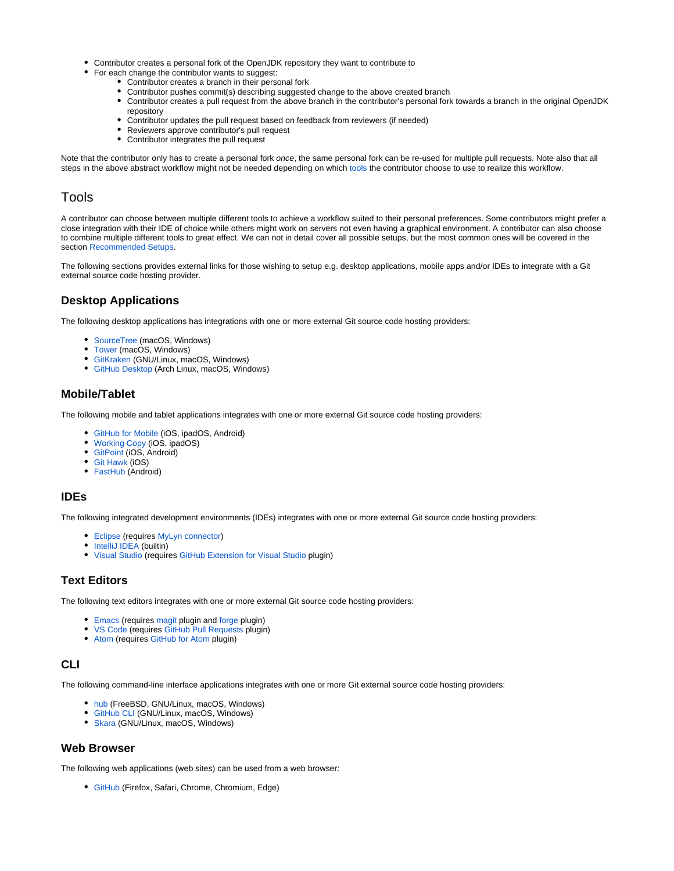- Contributor creates a personal fork of the OpenJDK repository they want to contribute to
- For each change the contributor wants to suggest:
	- Contributor creates a branch in their personal fork
	- Contributor pushes commit(s) describing suggested change to the above created branch
	- Contributor creates a pull request from the above branch in the contributor's personal fork towards a branch in the original OpenJDK repository
	- Contributor updates the pull request based on feedback from reviewers (if needed)
	- Reviewers approve contributor's pull request
	- Contributor integrates the pull request

Note that the contributor only has to create a personal fork once, the same personal fork can be re-used for multiple pull requests. Note also that all steps in the above abstract workflow might not be needed depending on which [tools](https://wiki.openjdk.java.net/display/skara#Skara-Tools) the contributor choose to use to realize this workflow.

# <span id="page-5-0"></span>Tools

A contributor can choose between multiple different tools to achieve a workflow suited to their personal preferences. Some contributors might prefer a close integration with their IDE of choice while others might work on servers not even having a graphical environment. A contributor can also choose to combine multiple different tools to great effect. We can not in detail cover all possible setups, but the most common ones will be covered in the section [Recommended Setups.](https://wiki.openjdk.java.net/display/SKARA#Skara-RecommendedSetups)

The following sections provides external links for those wishing to setup e.g. desktop applications, mobile apps and/or IDEs to integrate with a Git external source code hosting provider.

# <span id="page-5-1"></span>**Desktop Applications**

The following desktop applications has integrations with one or more external Git source code hosting providers:

- [SourceTree](https://www.sourcetreeapp.com/) (macOS, Windows)
- [Tower](https://www.git-tower.com/) (macOS, Windows)
- [GitKraken](https://www.gitkraken.com/) (GNU/Linux, macOS, Windows)
- [GitHub Desktop](https://desktop.github.com/) (Arch Linux, macOS, Windows)

# <span id="page-5-2"></span>**Mobile/Tablet**

The following mobile and tablet applications integrates with one or more external Git source code hosting providers:

- [GitHub for Mobile](https://github.com/mobile/) (iOS, ipadOS, Android)
- [Working Copy](https://workingcopyapp.com/) (iOS, ipadOS)
- [GitPoint](https://gitpoint.co/) (iOS, Android)
- [Git Hawk](http://githawk.com/) (iOS)
- [FastHub](https://github.com/k0shk0sh/FastHub) (Android)

# <span id="page-5-3"></span>**IDEs**

The following integrated development environments (IDEs) integrates with one or more external Git source code hosting providers:

- [Eclipse](https://www.eclipse.org/) (requires [MyLyn connector\)](https://github.com/eclipse/egit-github)
- [IntelliJ IDEA](https://www.jetbrains.com/idea/) (builtin)
- [Visual Studio](https://visualstudio.microsoft.com/) (requires [GitHub Extension for Visual Studio](https://visualstudio.github.com/) plugin)

### <span id="page-5-4"></span>**Text Editors**

The following text editors integrates with one or more external Git source code hosting providers:

- [Emacs](https://www.gnu.org/software/emacs/) (requires [magit](https://magit.vc/) plugin and [forge](https://github.com/magit/forge) plugin)
- [VS Code](https://code.visualstudio.com/) (requires [GitHub Pull Requests](https://marketplace.visualstudio.com/items?itemName=GitHub.vscode-pull-request-github) plugin)
- [Atom](https://atom.io/) (requires [GitHub for Atom](https://github.atom.io/) plugin)

# <span id="page-5-5"></span>**CLI**

The following command-line interface applications integrates with one or more Git external source code hosting providers:

- [hub](https://hub.github.com/) (FreeBSD, GNU/Linux, macOS, Windows)
- [GitHub CLI](https://cli.github.com/) (GNU/Linux, macOS, Windows)
- [Skara](https://wiki.openjdk.java.net/display/SKARA/CLI+Tools) (GNU/Linux, macOS, Windows)

### <span id="page-5-6"></span>**Web Browser**

<span id="page-5-7"></span>The following web applications (web sites) can be used from a web browser:

[GitHub](https://github.com) (Firefox, Safari, Chrome, Chromium, Edge)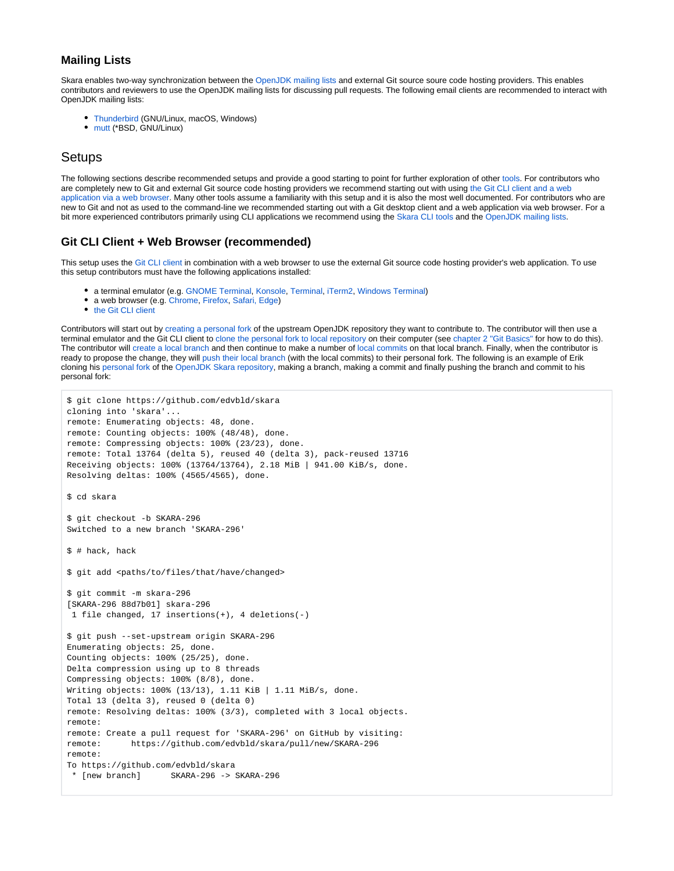# **Mailing Lists**

Skara enables two-way synchronization between the [OpenJDK mailing lists](https://OpenJDK mailing lists) and external Git source soure code hosting providers. This enables contributors and reviewers to use the OpenJDK mailing lists for discussing pull requests. The following email clients are recommended to interact with OpenJDK mailing lists:

- [Thunderbird](https://www.thunderbird.net/) (GNU/Linux, macOS, Windows)
- [mutt](http://www.mutt.org/) (\*BSD, GNU/Linux)

# <span id="page-6-0"></span>**Setups**

The following sections describe recommended setups and provide a good starting to point for further exploration of other [tools](https://wiki.openjdk.java.net/display/SKARA#Skara-Tools). For contributors who are completely new to Git and external Git source code hosting providers we recommend starting out with using [the Git CLI client and a web](https://wiki.openjdk.java.net/display/SKARA/Skara#Skara-GitCLIClient+WebBrowser(recommended))  [application via a web browser.](https://wiki.openjdk.java.net/display/SKARA/Skara#Skara-GitCLIClient+WebBrowser(recommended)) Many other tools assume a familiarity with this setup and it is also the most well documented. For contributors who are new to Git and not as used to the command-line we recommended starting out with a Git desktop client and a web application via web browser. For a bit more experienced contributors primarily using CLI applications we recommend using the [Skara CLI tools](https://wiki.openjdk.java.net/display/SKARA/CLI+Tools) and the [OpenJDK mailing lists](https://wiki.openjdk.java.net/display/SKARA#Skara-MailingLists).

# <span id="page-6-1"></span>**Git CLI Client + Web Browser (recommended)**

This setup uses the [Git CLI client](https://wiki.openjdk.java.net/display/SKARA#Skara-InstallingtheGitCLIclient) in combination with a web browser to use the external Git source code hosting provider's web application. To use this setup contributors must have the following applications installed:

- a terminal emulator (e.g. [GNOME Terminal](https://help.gnome.org/users/gnome-terminal/stable/), [Konsole,](https://konsole.kde.org/) [Terminal](https://en.wikipedia.org/wiki/Terminal_(macOS)), [iTerm2,](https://iterm2.com/) [Windows Terminal\)](https://en.wikipedia.org/wiki/Windows_Terminal)
- a web browser (e.g. [Chrome](https://www.google.com/chrome/), [Firefox](https://www.mozilla.org/en-US/firefox/new/), [Safari,](https://www.apple.com/safari/) [Edge\)](https://www.microsoft.com/en-us/edge)
- [the Git CLI client](https://wiki.openjdk.java.net/display/SKARA#Skara-InstallingtheGitCLIclient)

Contributors will start out by [creating a personal fork](https://wiki.openjdk.java.net/display/SKARA/FAQ#FAQ-HowdoIcreateapersonalfork?) of the upstream OpenJDK repository they want to contribute to. The contributor will then use a terminal emulator and the Git CLI client to [clone the personal fork to local repository](https://wiki.openjdk.java.net/display/SKARA/FAQ#FAQ-HowdoIclonearepository?) on their computer (see [chapter 2 "Git Basics"](https://git-scm.com/book/en/v2/Git-Basics-Getting-a-Git-Repository) for how to do this). The contributor will [create a local branch](https://wiki.openjdk.java.net/display/SKARA/FAQ#FAQ-HowdoIcreatealocalbranch?) and then continue to make a number of [local commits](https://wiki.openjdk.java.net/display/SKARA/FAQ#FAQ-HowdoImakeacommit?) on that local branch. Finally, when the contributor is ready to propose the change, they will [push their local branch](https://wiki.openjdk.java.net/display/SKARA/FAQ#FAQ-HowdoIpushalocalbranchtoaremoterepository?) (with the local commits) to their personal fork. The following is an example of Erik cloning his [personal fork](https://github.com/edvbld/skara) of the [OpenJDK Skara repository,](https://github.com/openjdk/skara) making a branch, making a commit and finally pushing the branch and commit to his personal fork:

```
$ git clone https://github.com/edvbld/skara
cloning into 'skara'...
remote: Enumerating objects: 48, done.
remote: Counting objects: 100% (48/48), done.
remote: Compressing objects: 100% (23/23), done.
remote: Total 13764 (delta 5), reused 40 (delta 3), pack-reused 13716
Receiving objects: 100% (13764/13764), 2.18 MiB | 941.00 KiB/s, done.
Resolving deltas: 100% (4565/4565), done.
$ cd skara
$ git checkout -b SKARA-296
Switched to a new branch 'SKARA-296'
$ # hack, hack
$ git add <paths/to/files/that/have/changed>
$ git commit -m skara-296
[SKARA-296 88d7b01] skara-296 
  1 file changed, 17 insertions(+), 4 deletions(-) 
$ git push --set-upstream origin SKARA-296
Enumerating objects: 25, done.
Counting objects: 100% (25/25), done.
Delta compression using up to 8 threads
Compressing objects: 100% (8/8), done.
Writing objects: 100% (13/13), 1.11 KiB | 1.11 MiB/s, done.
Total 13 (delta 3), reused 0 (delta 0)
remote: Resolving deltas: 100% (3/3), completed with 3 local objects.
remote: 
remote: Create a pull request for 'SKARA-296' on GitHub by visiting:
remote: https://github.com/edvbld/skara/pull/new/SKARA-296
remote: 
To https://github.com/edvbld/skara
  * [new branch] SKARA-296 -> SKARA-296
```